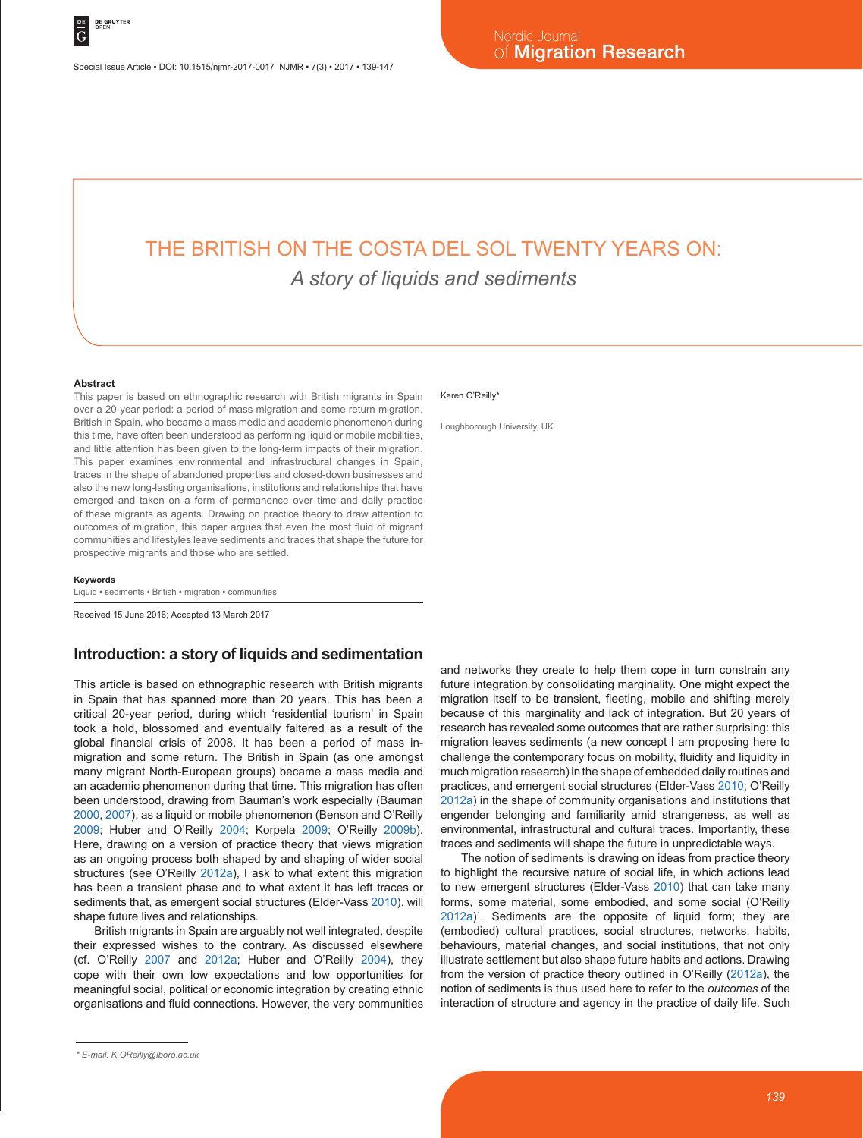# THE BRITISH ON THE COSTA DEL SOL TWENTY YEARS ON: *A story of liquids and sediments*

#### **Abstract**

This paper is based on ethnographic research with British migrants in Spain over a 20-year period: a period of mass migration and some return migration. British in Spain, who became a mass media and academic phenomenon during this time, have often been understood as performing liquid or mobile mobilities, and little attention has been given to the long-term impacts of their migration. This paper examines environmental and infrastructural changes in Spain, traces in the shape of abandoned properties and closed-down businesses and also the new long-lasting organisations, institutions and relationships that have emerged and taken on a form of permanence over time and daily practice of these migrants as agents. Drawing on practice theory to draw attention to outcomes of migration, this paper argues that even the most fluid of migrant communities and lifestyles leave sediments and traces that shape the future for prospective migrants and those who are settled.

#### **Keywords**

Liquid • sediments • British • migration • communities

Received 15 June 2016; Accepted 13 March 2017

## **Introduction: a story of liquids and sedimentation**

This article is based on ethnographic research with British migrants in Spain that has spanned more than 20 years. This has been a critical 20-year period, during which 'residential tourism' in Spain took a hold, blossomed and eventually faltered as a result of the global financial crisis of 2008. It has been a period of mass inmigration and some return. The British in Spain (as one amongst many migrant North-European groups) became a mass media and an academic phenomenon during that time. This migration has often been understood, drawing from Bauman's work especially (Bauman 2000, 2007), as a liquid or mobile phenomenon (Benson and O'Reilly 2009; Huber and O'Reilly 2004; Korpela 2009; O'Reilly 2009b). Here, drawing on a version of practice theory that views migration as an ongoing process both shaped by and shaping of wider social structures (see O'Reilly 2012a), I ask to what extent this migration has been a transient phase and to what extent it has left traces or sediments that, as emergent social structures (Elder-Vass 2010), will shape future lives and relationships.

British migrants in Spain are arguably not well integrated, despite their expressed wishes to the contrary. As discussed elsewhere (cf. O'Reilly 2007 and 2012a; Huber and O'Reilly 2004), they cope with their own low expectations and low opportunities for meaningful social, political or economic integration by creating ethnic organisations and fluid connections. However, the very communities

#### Karen O'Reilly\*

Loughborough University, UK

and networks they create to help them cope in turn constrain any future integration by consolidating marginality. One might expect the migration itself to be transient, fleeting, mobile and shifting merely because of this marginality and lack of integration. But 20 years of research has revealed some outcomes that are rather surprising: this migration leaves sediments (a new concept I am proposing here to challenge the contemporary focus on mobility, fluidity and liquidity in much migration research) in the shape of embedded daily routines and practices, and emergent social structures (Elder-Vass 2010; O'Reilly 2012a) in the shape of community organisations and institutions that engender belonging and familiarity amid strangeness, as well as environmental, infrastructural and cultural traces. Importantly, these traces and sediments will shape the future in unpredictable ways.

The notion of sediments is drawing on ideas from practice theory to highlight the recursive nature of social life, in which actions lead to new emergent structures (Elder-Vass 2010) that can take many forms, some material, some embodied, and some social (O'Reilly 2012a) 1 . Sediments are the opposite of liquid form; they are (embodied) cultural practices, social structures, networks, habits, behaviours, material changes, and social institutions, that not only illustrate settlement but also shape future habits and actions. Drawing from the version of practice theory outlined in O'Reilly (2012a), the notion of sediments is thus used here to refer to the *outcomes* of the interaction of structure and agency in the practice of daily life. Such

*<sup>\*</sup> E-mail: K.OReilly@lboro.ac.uk*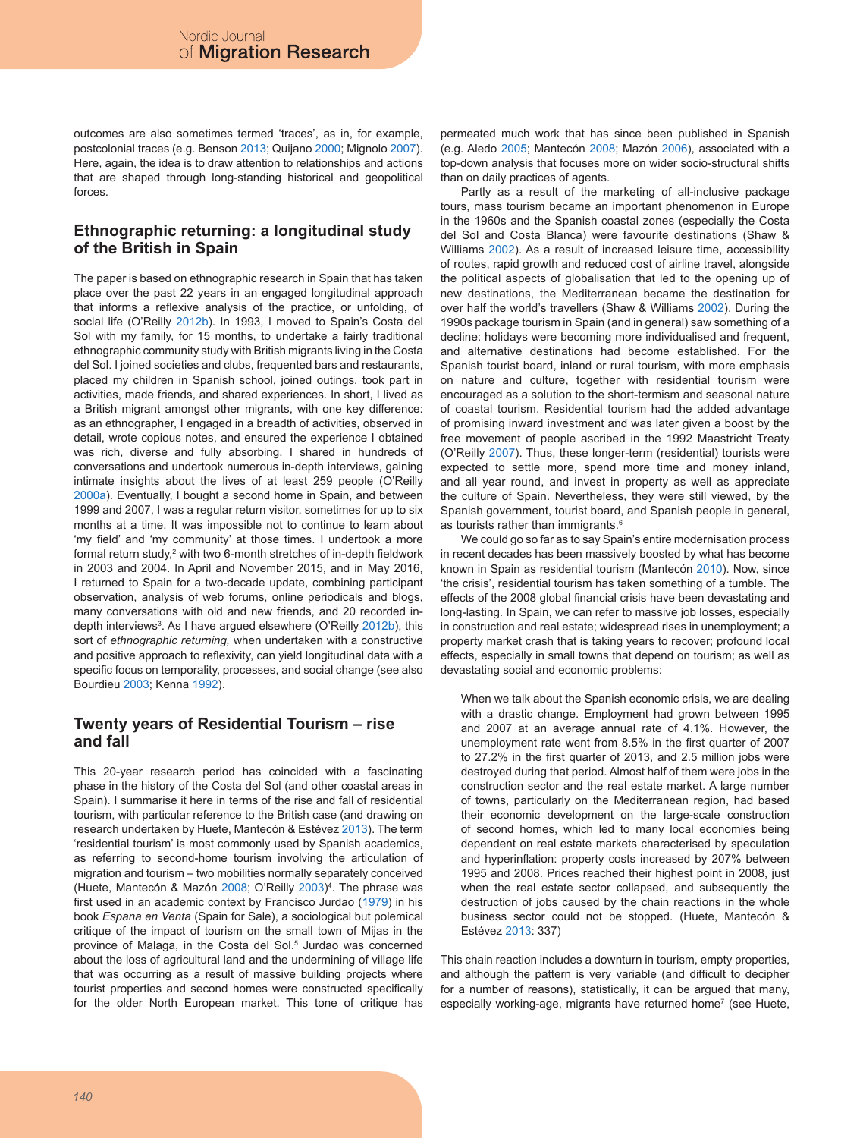outcomes are also sometimes termed 'traces', as in, for example, postcolonial traces (e.g. Benson 2013; Quijano 2000; Mignolo 2007). Here, again, the idea is to draw attention to relationships and actions that are shaped through long-standing historical and geopolitical forces.

## **Ethnographic returning: a longitudinal study of the British in Spain**

The paper is based on ethnographic research in Spain that has taken place over the past 22 years in an engaged longitudinal approach that informs a reflexive analysis of the practice, or unfolding, of social life (O'Reilly 2012b). In 1993, I moved to Spain's Costa del Sol with my family, for 15 months, to undertake a fairly traditional ethnographic community study with British migrants living in the Costa del Sol. I joined societies and clubs, frequented bars and restaurants, placed my children in Spanish school, joined outings, took part in activities, made friends, and shared experiences. In short, I lived as a British migrant amongst other migrants, with one key difference: as an ethnographer, I engaged in a breadth of activities, observed in detail, wrote copious notes, and ensured the experience I obtained was rich, diverse and fully absorbing. I shared in hundreds of conversations and undertook numerous in-depth interviews, gaining intimate insights about the lives of at least 259 people (O'Reilly 2000a). Eventually, I bought a second home in Spain, and between 1999 and 2007, I was a regular return visitor, sometimes for up to six months at a time. It was impossible not to continue to learn about 'my field' and 'my community' at those times. I undertook a more formal return study,<sup>2</sup> with two 6-month stretches of in-depth fieldwork in 2003 and 2004. In April and November 2015, and in May 2016, I returned to Spain for a two-decade update, combining participant observation, analysis of web forums, online periodicals and blogs, many conversations with old and new friends, and 20 recorded indepth interviews<sup>3</sup>. As I have argued elsewhere (O'Reilly 2012b), this sort of *ethnographic returning,* when undertaken with a constructive and positive approach to reflexivity, can yield longitudinal data with a specific focus on temporality, processes, and social change (see also Bourdieu 2003; Kenna 1992).

## **Twenty years of Residential Tourism – rise and fall**

This 20-year research period has coincided with a fascinating phase in the history of the Costa del Sol (and other coastal areas in Spain). I summarise it here in terms of the rise and fall of residential tourism, with particular reference to the British case (and drawing on research undertaken by Huete, Mantecón & Estévez 2013). The term 'residential tourism' is most commonly used by Spanish academics, as referring to second-home tourism involving the articulation of migration and tourism – two mobilities normally separately conceived (Huete, Mantecón & Mazón 2008; O'Reilly 2003) 4 . The phrase was first used in an academic context by Francisco Jurdao (1979) in his book *Espana en Venta* (Spain for Sale), a sociological but polemical critique of the impact of tourism on the small town of Mijas in the province of Malaga, in the Costa del Sol.5 Jurdao was concerned about the loss of agricultural land and the undermining of village life that was occurring as a result of massive building projects where tourist properties and second homes were constructed specifically for the older North European market. This tone of critique has

permeated much work that has since been published in Spanish (e.g. Aledo 2005; Mantecón 2008; Mazón 2006), associated with a top-down analysis that focuses more on wider socio-structural shifts than on daily practices of agents.

Partly as a result of the marketing of all-inclusive package tours, mass tourism became an important phenomenon in Europe in the 1960s and the Spanish coastal zones (especially the Costa del Sol and Costa Blanca) were favourite destinations (Shaw & Williams 2002). As a result of increased leisure time, accessibility of routes, rapid growth and reduced cost of airline travel, alongside the political aspects of globalisation that led to the opening up of new destinations, the Mediterranean became the destination for over half the world's travellers (Shaw & Williams 2002). During the 1990s package tourism in Spain (and in general) saw something of a decline: holidays were becoming more individualised and frequent, and alternative destinations had become established. For the Spanish tourist board, inland or rural tourism, with more emphasis on nature and culture, together with residential tourism were encouraged as a solution to the short-termism and seasonal nature of coastal tourism. Residential tourism had the added advantage of promising inward investment and was later given a boost by the free movement of people ascribed in the 1992 Maastricht Treaty (O'Reilly 2007). Thus, these longer-term (residential) tourists were expected to settle more, spend more time and money inland, and all year round, and invest in property as well as appreciate the culture of Spain. Nevertheless, they were still viewed, by the Spanish government, tourist board, and Spanish people in general, as tourists rather than immigrants.<sup>6</sup>

We could go so far as to say Spain's entire modernisation process in recent decades has been massively boosted by what has become known in Spain as residential tourism (Mantecón 2010). Now, since 'the crisis', residential tourism has taken something of a tumble. The effects of the 2008 global financial crisis have been devastating and long-lasting. In Spain, we can refer to massive job losses, especially in construction and real estate; widespread rises in unemployment; a property market crash that is taking years to recover; profound local effects, especially in small towns that depend on tourism; as well as devastating social and economic problems:

When we talk about the Spanish economic crisis, we are dealing with a drastic change. Employment had grown between 1995 and 2007 at an average annual rate of 4.1%. However, the unemployment rate went from 8.5% in the first quarter of 2007 to 27.2% in the first quarter of 2013, and 2.5 million jobs were destroyed during that period. Almost half of them were jobs in the construction sector and the real estate market. A large number of towns, particularly on the Mediterranean region, had based their economic development on the large-scale construction of second homes, which led to many local economies being dependent on real estate markets characterised by speculation and hyperinflation: property costs increased by 207% between 1995 and 2008. Prices reached their highest point in 2008, just when the real estate sector collapsed, and subsequently the destruction of jobs caused by the chain reactions in the whole business sector could not be stopped. (Huete, Mantecón & Estévez 2013: 337)

This chain reaction includes a downturn in tourism, empty properties, and although the pattern is very variable (and difficult to decipher for a number of reasons), statistically, it can be argued that many, especially working-age, migrants have returned home<sup>7</sup> (see Huete,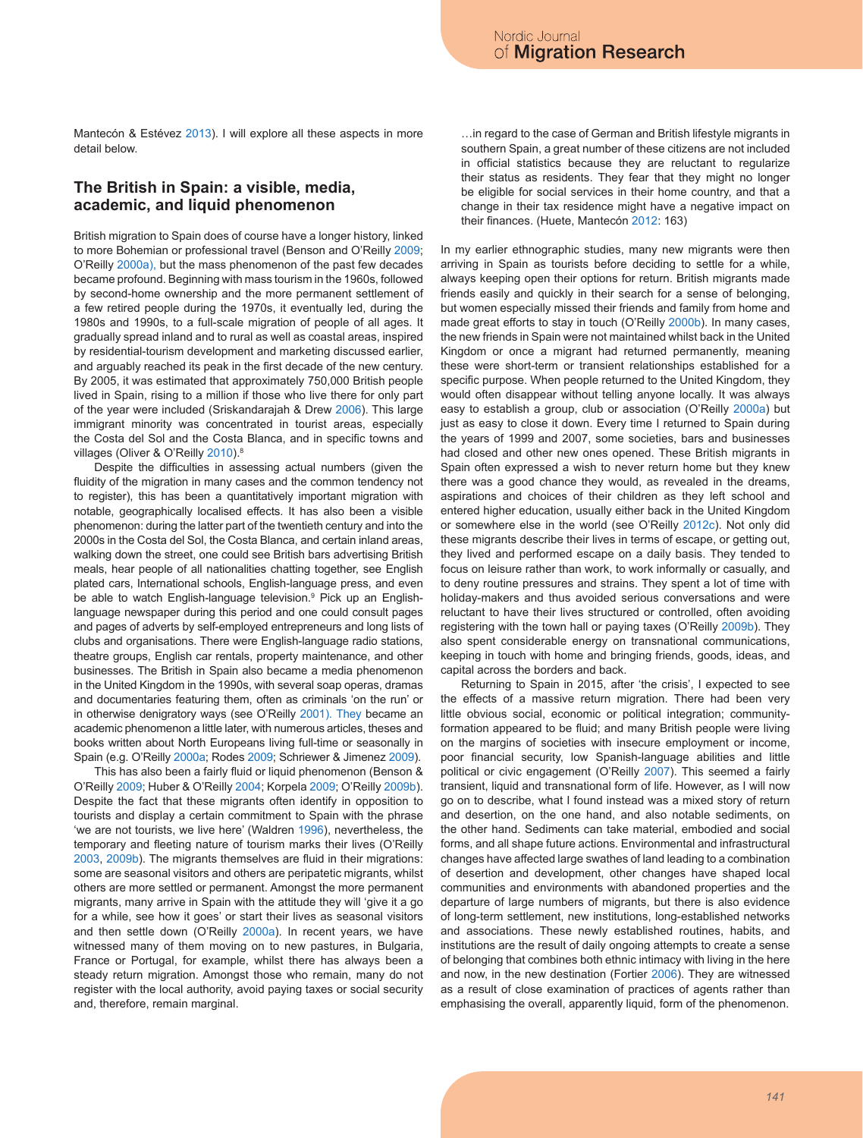Mantecón & Estévez 2013). I will explore all these aspects in more detail below.

## **The British in Spain: a visible, media, academic, and liquid phenomenon**

British migration to Spain does of course have a longer history, linked to more Bohemian or professional travel (Benson and O'Reilly 2009; O'Reilly 2000a), but the mass phenomenon of the past few decades became profound. Beginning with mass tourism in the 1960s, followed by second-home ownership and the more permanent settlement of a few retired people during the 1970s, it eventually led, during the 1980s and 1990s, to a full-scale migration of people of all ages. It gradually spread inland and to rural as well as coastal areas, inspired by residential-tourism development and marketing discussed earlier, and arguably reached its peak in the first decade of the new century. By 2005, it was estimated that approximately 750,000 British people lived in Spain, rising to a million if those who live there for only part of the year were included (Sriskandarajah & Drew 2006). This large immigrant minority was concentrated in tourist areas, especially the Costa del Sol and the Costa Blanca, and in specific towns and villages (Oliver & O'Reilly 2010).<sup>8</sup>

Despite the difficulties in assessing actual numbers (given the fluidity of the migration in many cases and the common tendency not to register), this has been a quantitatively important migration with notable, geographically localised effects. It has also been a visible phenomenon: during the latter part of the twentieth century and into the 2000s in the Costa del Sol, the Costa Blanca, and certain inland areas, walking down the street, one could see British bars advertising British meals, hear people of all nationalities chatting together, see English plated cars, International schools, English-language press, and even be able to watch English-language television.<sup>9</sup> Pick up an Englishlanguage newspaper during this period and one could consult pages and pages of adverts by self-employed entrepreneurs and long lists of clubs and organisations. There were English-language radio stations, theatre groups, English car rentals, property maintenance, and other businesses. The British in Spain also became a media phenomenon in the United Kingdom in the 1990s, with several soap operas, dramas and documentaries featuring them, often as criminals 'on the run' or in otherwise denigratory ways (see O'Reilly 2001). They became an academic phenomenon a little later, with numerous articles, theses and books written about North Europeans living full-time or seasonally in Spain (e.g. O'Reilly 2000a; Rodes 2009; Schriewer & Jimenez 2009).

This has also been a fairly fluid or liquid phenomenon (Benson & O'Reilly 2009; Huber & O'Reilly 2004; Korpela 2009; O'Reilly 2009b). Despite the fact that these migrants often identify in opposition to tourists and display a certain commitment to Spain with the phrase 'we are not tourists, we live here' (Waldren 1996), nevertheless, the temporary and fleeting nature of tourism marks their lives (O'Reilly 2003, 2009b). The migrants themselves are fluid in their migrations: some are seasonal visitors and others are peripatetic migrants, whilst others are more settled or permanent. Amongst the more permanent migrants, many arrive in Spain with the attitude they will 'give it a go for a while, see how it goes' or start their lives as seasonal visitors and then settle down (O'Reilly 2000a). In recent years, we have witnessed many of them moving on to new pastures, in Bulgaria, France or Portugal, for example, whilst there has always been a steady return migration. Amongst those who remain, many do not register with the local authority, avoid paying taxes or social security and, therefore, remain marginal.

…in regard to the case of German and British lifestyle migrants in southern Spain, a great number of these citizens are not included in official statistics because they are reluctant to regularize their status as residents. They fear that they might no longer be eligible for social services in their home country, and that a change in their tax residence might have a negative impact on their finances. (Huete, Mantecón 2012: 163)

In my earlier ethnographic studies, many new migrants were then arriving in Spain as tourists before deciding to settle for a while, always keeping open their options for return. British migrants made friends easily and quickly in their search for a sense of belonging, but women especially missed their friends and family from home and made great efforts to stay in touch (O'Reilly 2000b). In many cases, the new friends in Spain were not maintained whilst back in the United Kingdom or once a migrant had returned permanently, meaning these were short-term or transient relationships established for a specific purpose. When people returned to the United Kingdom, they would often disappear without telling anyone locally. It was always easy to establish a group, club or association (O'Reilly 2000a) but just as easy to close it down. Every time I returned to Spain during the years of 1999 and 2007, some societies, bars and businesses had closed and other new ones opened. These British migrants in Spain often expressed a wish to never return home but they knew there was a good chance they would, as revealed in the dreams, aspirations and choices of their children as they left school and entered higher education, usually either back in the United Kingdom or somewhere else in the world (see O'Reilly 2012c). Not only did these migrants describe their lives in terms of escape, or getting out, they lived and performed escape on a daily basis. They tended to focus on leisure rather than work, to work informally or casually, and to deny routine pressures and strains. They spent a lot of time with holiday-makers and thus avoided serious conversations and were reluctant to have their lives structured or controlled, often avoiding registering with the town hall or paying taxes (O'Reilly 2009b). They also spent considerable energy on transnational communications, keeping in touch with home and bringing friends, goods, ideas, and capital across the borders and back.

Returning to Spain in 2015, after 'the crisis', I expected to see the effects of a massive return migration. There had been very little obvious social, economic or political integration; communityformation appeared to be fluid; and many British people were living on the margins of societies with insecure employment or income, poor financial security, low Spanish-language abilities and little political or civic engagement (O'Reilly 2007). This seemed a fairly transient, liquid and transnational form of life. However, as I will now go on to describe, what I found instead was a mixed story of return and desertion, on the one hand, and also notable sediments, on the other hand. Sediments can take material, embodied and social forms, and all shape future actions. Environmental and infrastructural changes have affected large swathes of land leading to a combination of desertion and development, other changes have shaped local communities and environments with abandoned properties and the departure of large numbers of migrants, but there is also evidence of long-term settlement, new institutions, long-established networks and associations. These newly established routines, habits, and institutions are the result of daily ongoing attempts to create a sense of belonging that combines both ethnic intimacy with living in the here and now, in the new destination (Fortier 2006). They are witnessed as a result of close examination of practices of agents rather than emphasising the overall, apparently liquid, form of the phenomenon.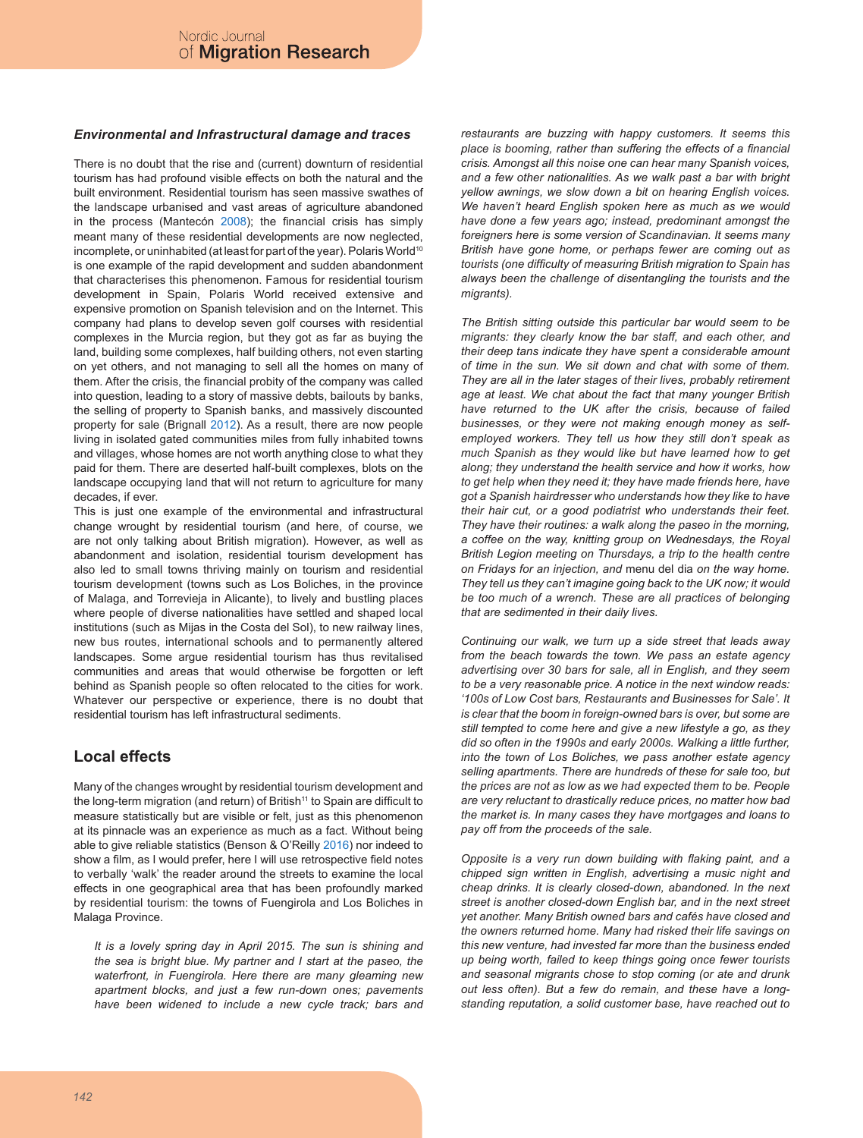## *Environmental and Infrastructural damage and traces*

There is no doubt that the rise and (current) downturn of residential tourism has had profound visible effects on both the natural and the built environment. Residential tourism has seen massive swathes of the landscape urbanised and vast areas of agriculture abandoned in the process (Mantecón 2008); the financial crisis has simply meant many of these residential developments are now neglected, incomplete, or uninhabited (at least for part of the year). Polaris World<sup>10</sup> is one example of the rapid development and sudden abandonment that characterises this phenomenon. Famous for residential tourism development in Spain, Polaris World received extensive and expensive promotion on Spanish television and on the Internet. This company had plans to develop seven golf courses with residential complexes in the Murcia region, but they got as far as buying the land, building some complexes, half building others, not even starting on yet others, and not managing to sell all the homes on many of them. After the crisis, the financial probity of the company was called into question, leading to a story of massive debts, bailouts by banks, the selling of property to Spanish banks, and massively discounted property for sale (Brignall 2012). As a result, there are now people living in isolated gated communities miles from fully inhabited towns and villages, whose homes are not worth anything close to what they paid for them. There are deserted half-built complexes, blots on the landscape occupying land that will not return to agriculture for many decades, if ever.

This is just one example of the environmental and infrastructural change wrought by residential tourism (and here, of course, we are not only talking about British migration). However, as well as abandonment and isolation, residential tourism development has also led to small towns thriving mainly on tourism and residential tourism development (towns such as Los Boliches, in the province of Malaga, and Torrevieja in Alicante), to lively and bustling places where people of diverse nationalities have settled and shaped local institutions (such as Mijas in the Costa del Sol), to new railway lines, new bus routes, international schools and to permanently altered landscapes. Some argue residential tourism has thus revitalised communities and areas that would otherwise be forgotten or left behind as Spanish people so often relocated to the cities for work. Whatever our perspective or experience, there is no doubt that residential tourism has left infrastructural sediments.

# **Local effects**

Many of the changes wrought by residential tourism development and the long-term migration (and return) of British<sup>11</sup> to Spain are difficult to measure statistically but are visible or felt, just as this phenomenon at its pinnacle was an experience as much as a fact. Without being able to give reliable statistics (Benson & O'Reilly 2016) nor indeed to show a film, as I would prefer, here I will use retrospective field notes to verbally 'walk' the reader around the streets to examine the local effects in one geographical area that has been profoundly marked by residential tourism: the towns of Fuengirola and Los Boliches in Malaga Province.

*It is a lovely spring day in April 2015. The sun is shining and the sea is bright blue. My partner and I start at the paseo, the waterfront, in Fuengirola. Here there are many gleaming new apartment blocks, and just a few run-down ones; pavements have been widened to include a new cycle track; bars and*  *restaurants are buzzing with happy customers. It seems this place is booming, rather than suffering the effects of a financial crisis. Amongst all this noise one can hear many Spanish voices, and a few other nationalities. As we walk past a bar with bright yellow awnings, we slow down a bit on hearing English voices. We haven't heard English spoken here as much as we would have done a few years ago; instead, predominant amongst the foreigners here is some version of Scandinavian. It seems many British have gone home, or perhaps fewer are coming out as tourists (one difficulty of measuring British migration to Spain has always been the challenge of disentangling the tourists and the migrants).*

*The British sitting outside this particular bar would seem to be migrants: they clearly know the bar staff, and each other, and their deep tans indicate they have spent a considerable amount of time in the sun. We sit down and chat with some of them. They are all in the later stages of their lives, probably retirement age at least. We chat about the fact that many younger British have returned to the UK after the crisis, because of failed businesses, or they were not making enough money as selfemployed workers. They tell us how they still don't speak as much Spanish as they would like but have learned how to get along; they understand the health service and how it works, how to get help when they need it; they have made friends here, have got a Spanish hairdresser who understands how they like to have their hair cut, or a good podiatrist who understands their feet. They have their routines: a walk along the paseo in the morning, a coffee on the way, knitting group on Wednesdays, the Royal British Legion meeting on Thursdays, a trip to the health centre on Fridays for an injection, and* menu del dia *on the way home. They tell us they can't imagine going back to the UK now; it would be too much of a wrench. These are all practices of belonging that are sedimented in their daily lives.*

*Continuing our walk, we turn up a side street that leads away from the beach towards the town. We pass an estate agency advertising over 30 bars for sale, all in English, and they seem to be a very reasonable price. A notice in the next window reads: '100s of Low Cost bars, Restaurants and Businesses for Sale'. It is clear that the boom in foreign-owned bars is over, but some are still tempted to come here and give a new lifestyle a go, as they did so often in the 1990s and early 2000s. Walking a little further, into the town of Los Boliches, we pass another estate agency selling apartments. There are hundreds of these for sale too, but the prices are not as low as we had expected them to be. People are very reluctant to drastically reduce prices, no matter how bad the market is. In many cases they have mortgages and loans to pay off from the proceeds of the sale.*

*Opposite is a very run down building with flaking paint, and a chipped sign written in English, advertising a music night and cheap drinks. It is clearly closed-down, abandoned. In the next street is another closed-down English bar, and in the next street yet another. Many British owned bars and cafés have closed and the owners returned home. Many had risked their life savings on this new venture, had invested far more than the business ended up being worth, failed to keep things going once fewer tourists and seasonal migrants chose to stop coming (or ate and drunk out less often). But a few do remain, and these have a longstanding reputation, a solid customer base, have reached out to*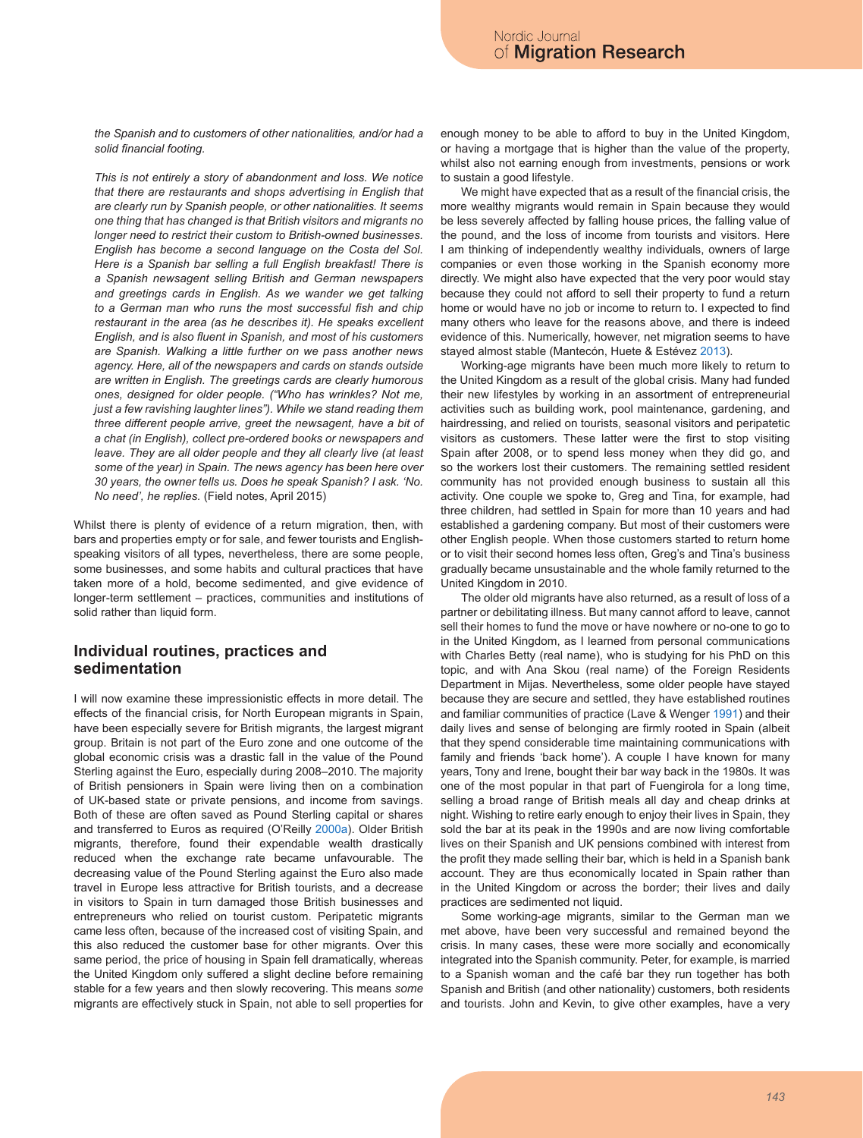*the Spanish and to customers of other nationalities, and/or had a solid financial footing.*

*This is not entirely a story of abandonment and loss. We notice that there are restaurants and shops advertising in English that are clearly run by Spanish people, or other nationalities. It seems one thing that has changed is that British visitors and migrants no longer need to restrict their custom to British-owned businesses. English has become a second language on the Costa del Sol. Here is a Spanish bar selling a full English breakfast! There is a Spanish newsagent selling British and German newspapers and greetings cards in English. As we wander we get talking to a German man who runs the most successful fish and chip restaurant in the area (as he describes it). He speaks excellent English, and is also fluent in Spanish, and most of his customers are Spanish. Walking a little further on we pass another news agency. Here, all of the newspapers and cards on stands outside are written in English. The greetings cards are clearly humorous ones, designed for older people. ("Who has wrinkles? Not me, just a few ravishing laughter lines"). While we stand reading them three different people arrive, greet the newsagent, have a bit of a chat (in English), collect pre-ordered books or newspapers and leave. They are all older people and they all clearly live (at least some of the year) in Spain. The news agency has been here over 30 years, the owner tells us. Does he speak Spanish? I ask. 'No. No need', he replies.* (Field notes, April 2015)

Whilst there is plenty of evidence of a return migration, then, with bars and properties empty or for sale, and fewer tourists and Englishspeaking visitors of all types, nevertheless, there are some people, some businesses, and some habits and cultural practices that have taken more of a hold, become sedimented, and give evidence of longer-term settlement – practices, communities and institutions of solid rather than liquid form.

## **Individual routines, practices and sedimentation**

I will now examine these impressionistic effects in more detail. The effects of the financial crisis, for North European migrants in Spain, have been especially severe for British migrants, the largest migrant group. Britain is not part of the Euro zone and one outcome of the global economic crisis was a drastic fall in the value of the Pound Sterling against the Euro, especially during 2008–2010. The majority of British pensioners in Spain were living then on a combination of UK-based state or private pensions, and income from savings. Both of these are often saved as Pound Sterling capital or shares and transferred to Euros as required (O'Reilly 2000a). Older British migrants, therefore, found their expendable wealth drastically reduced when the exchange rate became unfavourable. The decreasing value of the Pound Sterling against the Euro also made travel in Europe less attractive for British tourists, and a decrease in visitors to Spain in turn damaged those British businesses and entrepreneurs who relied on tourist custom. Peripatetic migrants came less often, because of the increased cost of visiting Spain, and this also reduced the customer base for other migrants. Over this same period, the price of housing in Spain fell dramatically, whereas the United Kingdom only suffered a slight decline before remaining stable for a few years and then slowly recovering. This means *some* migrants are effectively stuck in Spain, not able to sell properties for

enough money to be able to afford to buy in the United Kingdom, or having a mortgage that is higher than the value of the property, whilst also not earning enough from investments, pensions or work to sustain a good lifestyle.

We might have expected that as a result of the financial crisis, the more wealthy migrants would remain in Spain because they would be less severely affected by falling house prices, the falling value of the pound, and the loss of income from tourists and visitors. Here I am thinking of independently wealthy individuals, owners of large companies or even those working in the Spanish economy more directly. We might also have expected that the very poor would stay because they could not afford to sell their property to fund a return home or would have no job or income to return to. I expected to find many others who leave for the reasons above, and there is indeed evidence of this. Numerically, however, net migration seems to have stayed almost stable (Mantecón, Huete & Estévez 2013).

Working-age migrants have been much more likely to return to the United Kingdom as a result of the global crisis. Many had funded their new lifestyles by working in an assortment of entrepreneurial activities such as building work, pool maintenance, gardening, and hairdressing, and relied on tourists, seasonal visitors and peripatetic visitors as customers. These latter were the first to stop visiting Spain after 2008, or to spend less money when they did go, and so the workers lost their customers. The remaining settled resident community has not provided enough business to sustain all this activity. One couple we spoke to, Greg and Tina, for example, had three children, had settled in Spain for more than 10 years and had established a gardening company. But most of their customers were other English people. When those customers started to return home or to visit their second homes less often, Greg's and Tina's business gradually became unsustainable and the whole family returned to the United Kingdom in 2010.

The older old migrants have also returned, as a result of loss of a partner or debilitating illness. But many cannot afford to leave, cannot sell their homes to fund the move or have nowhere or no-one to go to in the United Kingdom, as I learned from personal communications with Charles Betty (real name), who is studying for his PhD on this topic, and with Ana Skou (real name) of the Foreign Residents Department in Mijas. Nevertheless, some older people have stayed because they are secure and settled, they have established routines and familiar communities of practice (Lave & Wenger 1991) and their daily lives and sense of belonging are firmly rooted in Spain (albeit that they spend considerable time maintaining communications with family and friends 'back home'). A couple I have known for many years, Tony and Irene, bought their bar way back in the 1980s. It was one of the most popular in that part of Fuengirola for a long time, selling a broad range of British meals all day and cheap drinks at night. Wishing to retire early enough to enjoy their lives in Spain, they sold the bar at its peak in the 1990s and are now living comfortable lives on their Spanish and UK pensions combined with interest from the profit they made selling their bar, which is held in a Spanish bank account. They are thus economically located in Spain rather than in the United Kingdom or across the border; their lives and daily practices are sedimented not liquid.

Some working-age migrants, similar to the German man we met above, have been very successful and remained beyond the crisis. In many cases, these were more socially and economically integrated into the Spanish community. Peter, for example, is married to a Spanish woman and the café bar they run together has both Spanish and British (and other nationality) customers, both residents and tourists. John and Kevin, to give other examples, have a very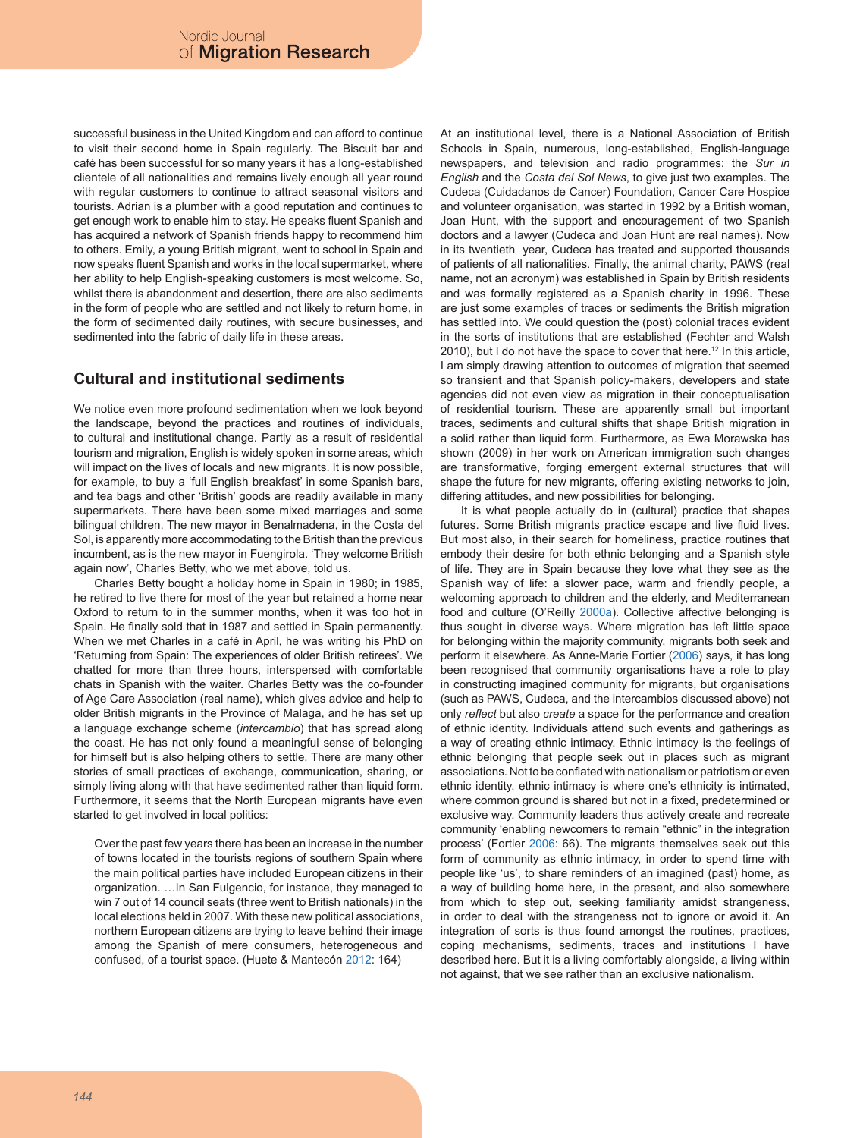successful business in the United Kingdom and can afford to continue to visit their second home in Spain regularly. The Biscuit bar and café has been successful for so many years it has a long-established clientele of all nationalities and remains lively enough all year round with regular customers to continue to attract seasonal visitors and tourists. Adrian is a plumber with a good reputation and continues to get enough work to enable him to stay. He speaks fluent Spanish and has acquired a network of Spanish friends happy to recommend him to others. Emily, a young British migrant, went to school in Spain and now speaks fluent Spanish and works in the local supermarket, where her ability to help English-speaking customers is most welcome. So, whilst there is abandonment and desertion, there are also sediments in the form of people who are settled and not likely to return home, in the form of sedimented daily routines, with secure businesses, and sedimented into the fabric of daily life in these areas.

# **Cultural and institutional sediments**

We notice even more profound sedimentation when we look beyond the landscape, beyond the practices and routines of individuals, to cultural and institutional change. Partly as a result of residential tourism and migration, English is widely spoken in some areas, which will impact on the lives of locals and new migrants. It is now possible, for example, to buy a 'full English breakfast' in some Spanish bars, and tea bags and other 'British' goods are readily available in many supermarkets. There have been some mixed marriages and some bilingual children. The new mayor in Benalmadena, in the Costa del Sol, is apparently more accommodating to the British than the previous incumbent, as is the new mayor in Fuengirola. 'They welcome British again now', Charles Betty, who we met above, told us.

Charles Betty bought a holiday home in Spain in 1980; in 1985, he retired to live there for most of the year but retained a home near Oxford to return to in the summer months, when it was too hot in Spain. He finally sold that in 1987 and settled in Spain permanently. When we met Charles in a café in April, he was writing his PhD on 'Returning from Spain: The experiences of older British retirees'. We chatted for more than three hours, interspersed with comfortable chats in Spanish with the waiter. Charles Betty was the co-founder of Age Care Association (real name), which gives advice and help to older British migrants in the Province of Malaga, and he has set up a language exchange scheme (*intercambio*) that has spread along the coast. He has not only found a meaningful sense of belonging for himself but is also helping others to settle. There are many other stories of small practices of exchange, communication, sharing, or simply living along with that have sedimented rather than liquid form. Furthermore, it seems that the North European migrants have even started to get involved in local politics:

Over the past few years there has been an increase in the number of towns located in the tourists regions of southern Spain where the main political parties have included European citizens in their organization. …In San Fulgencio, for instance, they managed to win 7 out of 14 council seats (three went to British nationals) in the local elections held in 2007. With these new political associations, northern European citizens are trying to leave behind their image among the Spanish of mere consumers, heterogeneous and confused, of a tourist space. (Huete & Mantecón 2012: 164)

At an institutional level, there is a National Association of British Schools in Spain, numerous, long-established, English-language newspapers, and television and radio programmes: the *Sur in English* and the *Costa del Sol News*, to give just two examples. The Cudeca (Cuidadanos de Cancer) Foundation, Cancer Care Hospice and volunteer organisation, was started in 1992 by a British woman, Joan Hunt, with the support and encouragement of two Spanish doctors and a lawyer (Cudeca and Joan Hunt are real names). Now in its twentieth year, Cudeca has treated and supported thousands of patients of all nationalities. Finally, the animal charity, PAWS (real name, not an acronym) was established in Spain by British residents and was formally registered as a Spanish charity in 1996. These are just some examples of traces or sediments the British migration has settled into. We could question the (post) colonial traces evident in the sorts of institutions that are established (Fechter and Walsh 2010), but I do not have the space to cover that here.<sup>12</sup> In this article, I am simply drawing attention to outcomes of migration that seemed so transient and that Spanish policy-makers, developers and state agencies did not even view as migration in their conceptualisation of residential tourism. These are apparently small but important traces, sediments and cultural shifts that shape British migration in a solid rather than liquid form. Furthermore, as Ewa Morawska has shown (2009) in her work on American immigration such changes are transformative, forging emergent external structures that will shape the future for new migrants, offering existing networks to join, differing attitudes, and new possibilities for belonging.

It is what people actually do in (cultural) practice that shapes futures. Some British migrants practice escape and live fluid lives. But most also, in their search for homeliness, practice routines that embody their desire for both ethnic belonging and a Spanish style of life. They are in Spain because they love what they see as the Spanish way of life: a slower pace, warm and friendly people, a welcoming approach to children and the elderly, and Mediterranean food and culture (O'Reilly 2000a). Collective affective belonging is thus sought in diverse ways. Where migration has left little space for belonging within the majority community, migrants both seek and perform it elsewhere. As Anne-Marie Fortier (2006) says, it has long been recognised that community organisations have a role to play in constructing imagined community for migrants, but organisations (such as PAWS, Cudeca, and the intercambios discussed above) not only *reflect* but also *create* a space for the performance and creation of ethnic identity. Individuals attend such events and gatherings as a way of creating ethnic intimacy. Ethnic intimacy is the feelings of ethnic belonging that people seek out in places such as migrant associations. Not to be conflated with nationalism or patriotism or even ethnic identity, ethnic intimacy is where one's ethnicity is intimated, where common ground is shared but not in a fixed, predetermined or exclusive way. Community leaders thus actively create and recreate community 'enabling newcomers to remain "ethnic" in the integration process' (Fortier 2006: 66). The migrants themselves seek out this form of community as ethnic intimacy, in order to spend time with people like 'us', to share reminders of an imagined (past) home, as a way of building home here, in the present, and also somewhere from which to step out, seeking familiarity amidst strangeness, in order to deal with the strangeness not to ignore or avoid it. An integration of sorts is thus found amongst the routines, practices, coping mechanisms, sediments, traces and institutions I have described here. But it is a living comfortably alongside, a living within not against, that we see rather than an exclusive nationalism.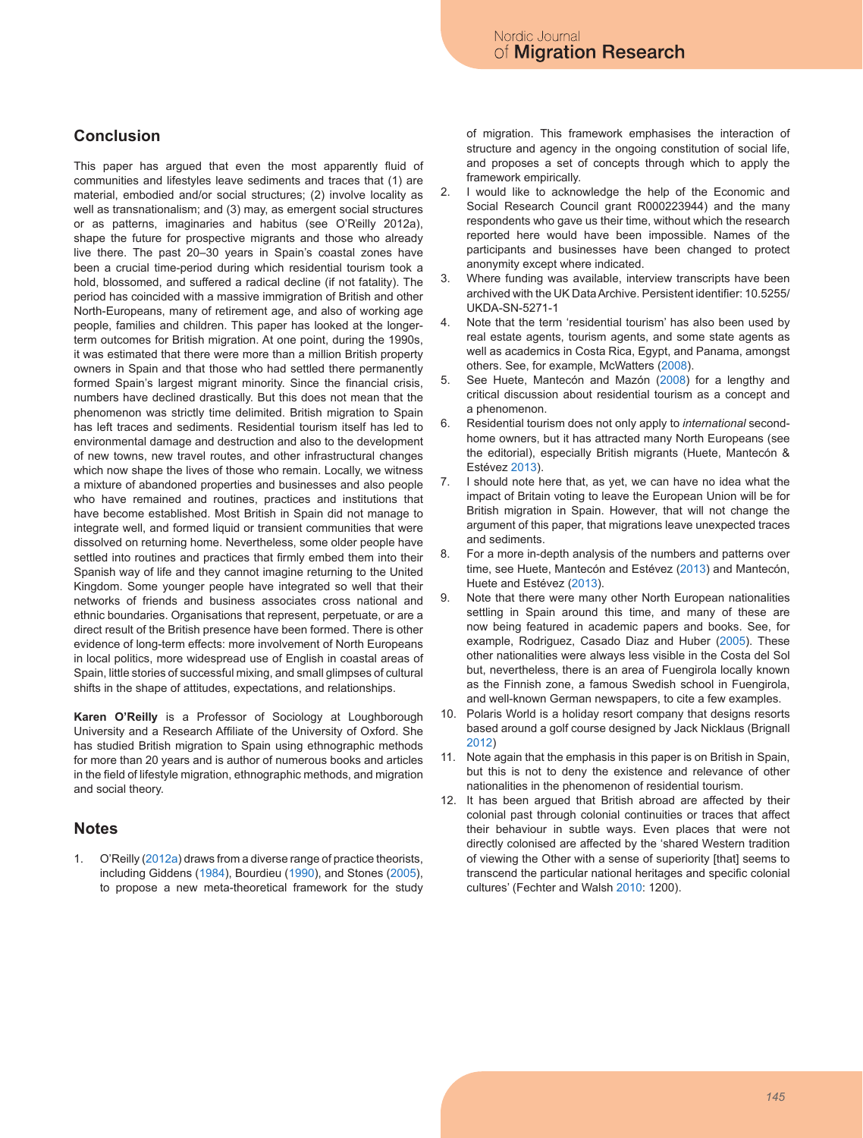# **Conclusion**

This paper has argued that even the most apparently fluid of communities and lifestyles leave sediments and traces that (1) are material, embodied and/or social structures; (2) involve locality as well as transnationalism; and (3) may, as emergent social structures or as patterns, imaginaries and habitus (see O'Reilly 2012a), shape the future for prospective migrants and those who already live there. The past 20–30 years in Spain's coastal zones have been a crucial time-period during which residential tourism took a hold, blossomed, and suffered a radical decline (if not fatality). The period has coincided with a massive immigration of British and other North-Europeans, many of retirement age, and also of working age people, families and children. This paper has looked at the longerterm outcomes for British migration. At one point, during the 1990s, it was estimated that there were more than a million British property owners in Spain and that those who had settled there permanently formed Spain's largest migrant minority. Since the financial crisis, numbers have declined drastically. But this does not mean that the phenomenon was strictly time delimited. British migration to Spain has left traces and sediments. Residential tourism itself has led to environmental damage and destruction and also to the development of new towns, new travel routes, and other infrastructural changes which now shape the lives of those who remain. Locally, we witness a mixture of abandoned properties and businesses and also people who have remained and routines, practices and institutions that have become established. Most British in Spain did not manage to integrate well, and formed liquid or transient communities that were dissolved on returning home. Nevertheless, some older people have settled into routines and practices that firmly embed them into their Spanish way of life and they cannot imagine returning to the United Kingdom. Some younger people have integrated so well that their networks of friends and business associates cross national and ethnic boundaries. Organisations that represent, perpetuate, or are a direct result of the British presence have been formed. There is other evidence of long-term effects: more involvement of North Europeans in local politics, more widespread use of English in coastal areas of Spain, little stories of successful mixing, and small glimpses of cultural shifts in the shape of attitudes, expectations, and relationships.

**Karen O'Reilly** is a Professor of Sociology at Loughborough University and a Research Affiliate of the University of Oxford. She has studied British migration to Spain using ethnographic methods for more than 20 years and is author of numerous books and articles in the field of lifestyle migration, ethnographic methods, and migration and social theory.

## **Notes**

1. O'Reilly (2012a) draws from a diverse range of practice theorists, including Giddens (1984), Bourdieu (1990), and Stones (2005), to propose a new meta-theoretical framework for the study of migration. This framework emphasises the interaction of structure and agency in the ongoing constitution of social life, and proposes a set of concepts through which to apply the framework empirically.

- 2. I would like to acknowledge the help of the Economic and Social Research Council grant R000223944) and the many respondents who gave us their time, without which the research reported here would have been impossible. Names of the participants and businesses have been changed to protect anonymity except where indicated.
- 3. Where funding was available, interview transcripts have been archived with the UK Data Archive. Persistent identifier: 10.5255/ UKDA-SN-5271-1
- Note that the term 'residential tourism' has also been used by real estate agents, tourism agents, and some state agents as well as academics in Costa Rica, Egypt, and Panama, amongst others. See, for example, McWatters (2008).
- 5. See Huete, Mantecón and Mazón (2008) for a lengthy and critical discussion about residential tourism as a concept and a phenomenon.
- 6. Residential tourism does not only apply to *international* secondhome owners, but it has attracted many North Europeans (see the editorial), especially British migrants (Huete, Mantecón & Estévez 2013).
- 7. I should note here that, as yet, we can have no idea what the impact of Britain voting to leave the European Union will be for British migration in Spain. However, that will not change the argument of this paper, that migrations leave unexpected traces and sediments.
- 8. For a more in-depth analysis of the numbers and patterns over time, see Huete, Mantecón and Estévez (2013) and Mantecón, Huete and Estévez (2013).
- 9. Note that there were many other North European nationalities settling in Spain around this time, and many of these are now being featured in academic papers and books. See, for example, Rodriguez, Casado Diaz and Huber (2005). These other nationalities were always less visible in the Costa del Sol but, nevertheless, there is an area of Fuengirola locally known as the Finnish zone, a famous Swedish school in Fuengirola, and well-known German newspapers, to cite a few examples.
- 10. Polaris World is a holiday resort company that designs resorts based around a golf course designed by Jack Nicklaus (Brignall 2012)
- 11. Note again that the emphasis in this paper is on British in Spain, but this is not to deny the existence and relevance of other nationalities in the phenomenon of residential tourism.
- It has been argued that British abroad are affected by their colonial past through colonial continuities or traces that affect their behaviour in subtle ways. Even places that were not directly colonised are affected by the 'shared Western tradition of viewing the Other with a sense of superiority [that] seems to transcend the particular national heritages and specific colonial cultures' (Fechter and Walsh 2010: 1200).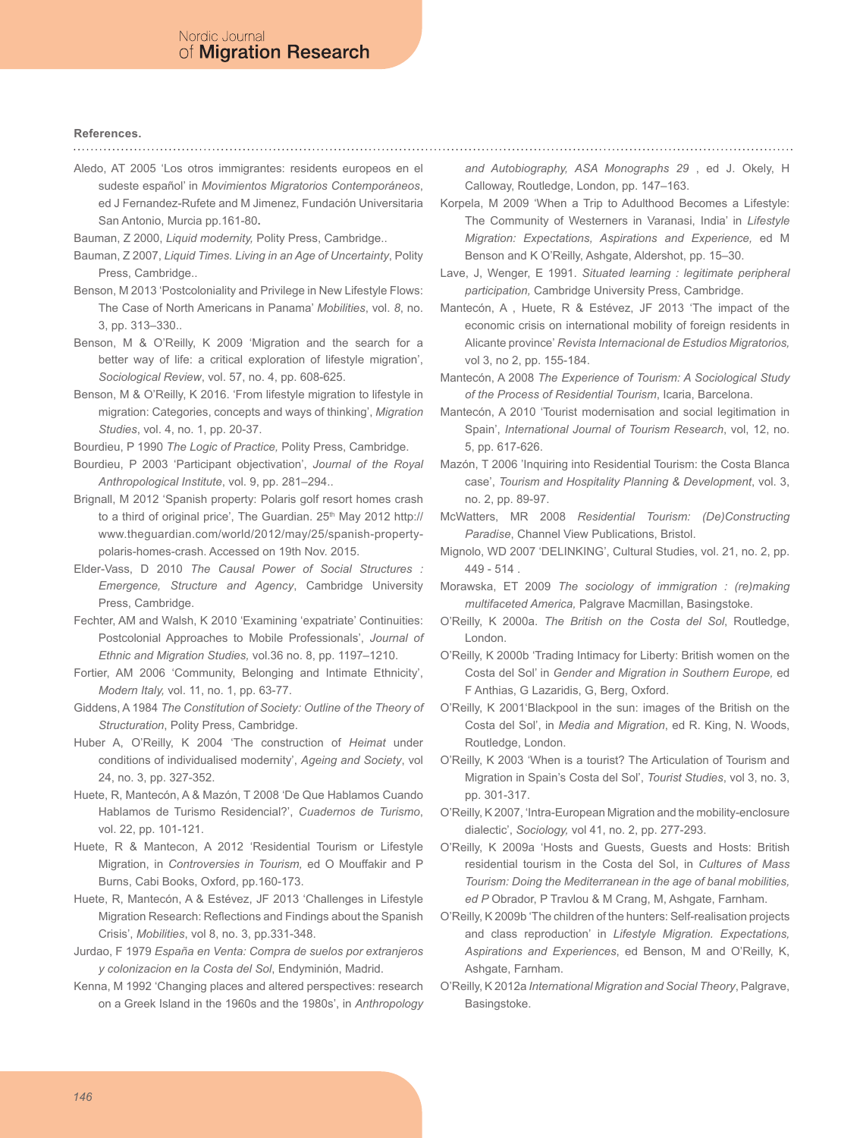### **References.**

- Aledo, AT 2005 'Los otros immigrantes: residents europeos en el sudeste español' in *Movimientos Migratorios Contemporáneos*, ed J Fernandez-Rufete and M Jimenez, Fundación Universitaria San Antonio, Murcia pp.161-80**.**
- Bauman, Z 2000, *Liquid modernity,* Polity Press, Cambridge..
- Bauman, Z 2007, *Liquid Times. Living in an Age of Uncertainty*, Polity Press, Cambridge..
- Benson, M 2013 'Postcoloniality and Privilege in New Lifestyle Flows: The Case of North Americans in Panama' *Mobilities*, vol. *8*, no. 3, pp. 313–330..
- Benson, M & O'Reilly, K 2009 'Migration and the search for a better way of life: a critical exploration of lifestyle migration', *Sociological Review*, vol. 57, no. 4, pp. 608-625.
- Benson, M & O'Reilly, K 2016. 'From lifestyle migration to lifestyle in migration: Categories, concepts and ways of thinking', *Migration Studies*, vol. 4, no. 1, pp. 20-37.
- Bourdieu, P 1990 *The Logic of Practice,* Polity Press, Cambridge.
- Bourdieu, P 2003 'Participant objectivation', *Journal of the Royal Anthropological Institute*, vol. 9, pp. 281–294..
- Brignall, M 2012 'Spanish property: Polaris golf resort homes crash to a third of original price', The Guardian. 25<sup>th</sup> May 2012 http:// www.theguardian.com/world/2012/may/25/spanish-propertypolaris-homes-crash. Accessed on 19th Nov. 2015.
- Elder-Vass, D 2010 *The Causal Power of Social Structures : Emergence, Structure and Agency*, Cambridge University Press, Cambridge.
- Fechter, AM and Walsh, K 2010 'Examining 'expatriate' Continuities: Postcolonial Approaches to Mobile Professionals', *Journal of Ethnic and Migration Studies,* vol.36 no. 8, pp. 1197–1210.
- Fortier, AM 2006 'Community, Belonging and Intimate Ethnicity', *Modern Italy,* vol. 11, no. 1, pp. 63-77.
- Giddens, A 1984 *The Constitution of Society: Outline of the Theory of Structuration*, Polity Press, Cambridge.
- Huber A, O'Reilly, K 2004 'The construction of *Heimat* under conditions of individualised modernity', *Ageing and Society*, vol 24, no. 3, pp. 327-352.
- Huete, R, Mantecón, A & Mazón, T 2008 'De Que Hablamos Cuando Hablamos de Turismo Residencial?', *Cuadernos de Turismo*, vol. 22, pp. 101-121.
- Huete, R & Mantecon, A 2012 'Residential Tourism or Lifestyle Migration, in *Controversies in Tourism,* ed O Mouffakir and P Burns, Cabi Books, Oxford, pp.160-173.
- Huete, R, Mantecón, A & Estévez, JF 2013 'Challenges in Lifestyle Migration Research: Reflections and Findings about the Spanish Crisis', *Mobilities*, vol 8, no. 3, pp.331-348.
- Jurdao, F 1979 *España en Venta: Compra de suelos por extranjeros y colonizacion en la Costa del Sol*, Endyminión, Madrid.
- Kenna, M 1992 'Changing places and altered perspectives: research on a Greek Island in the 1960s and the 1980s', in *Anthropology*

*and Autobiography, ASA Monographs 29* , ed J. Okely, H Calloway, Routledge, London, pp. 147–163.

- Korpela, M 2009 'When a Trip to Adulthood Becomes a Lifestyle: The Community of Westerners in Varanasi, India' in *Lifestyle Migration: Expectations, Aspirations and Experience,* ed M Benson and K O'Reilly, Ashgate, Aldershot, pp. 15–30.
- Lave, J, Wenger, E 1991. *Situated learning : legitimate peripheral participation,* Cambridge University Press, Cambridge.
- Mantecón, A , Huete, R & Estévez, JF 2013 'The impact of the economic crisis on international mobility of foreign residents in Alicante province' *Revista Internacional de Estudios Migratorios,*  vol 3, no 2, pp. 155-184.
- Mantecón, A 2008 *The Experience of Tourism: A Sociological Study of the Process of Residential Tourism*, Icaria, Barcelona.
- Mantecón, A 2010 'Tourist modernisation and social legitimation in Spain', *International Journal of Tourism Research*, vol, 12, no. 5, pp. 617-626.
- Mazón, T 2006 'Inquiring into Residential Tourism: the Costa Blanca case', *Tourism and Hospitality Planning & Development*, vol. 3, no. 2, pp. 89-97.
- McWatters, MR 2008 *Residential Tourism: (De)Constructing Paradise*, Channel View Publications, Bristol.
- Mignolo, WD 2007 'DELINKING', Cultural Studies, vol. 21, no. 2, pp. 449 - 514 .
- Morawska, ET 2009 *The sociology of immigration : (re)making multifaceted America,* Palgrave Macmillan, Basingstoke.
- O'Reilly, K 2000a. *The British on the Costa del Sol*, Routledge, London.
- O'Reilly, K 2000b 'Trading Intimacy for Liberty: British women on the Costa del Sol' in *Gender and Migration in Southern Europe,* ed F Anthias, G Lazaridis, G, Berg, Oxford.
- O'Reilly, K 2001'Blackpool in the sun: images of the British on the Costa del Sol', in *Media and Migration*, ed R. King, N. Woods, Routledge, London.
- O'Reilly, K 2003 'When is a tourist? The Articulation of Tourism and Migration in Spain's Costa del Sol', *Tourist Studies*, vol 3, no. 3, pp. 301-317.
- O'Reilly, K 2007, 'Intra-European Migration and the mobility-enclosure dialectic', *Sociology,* vol 41, no. 2, pp. 277-293.
- O'Reilly, K 2009a 'Hosts and Guests, Guests and Hosts: British residential tourism in the Costa del Sol, in *Cultures of Mass Tourism: Doing the Mediterranean in the age of banal mobilities, ed P* Obrador, P Travlou & M Crang, M, Ashgate, Farnham.
- O'Reilly, K 2009b 'The children of the hunters: Self-realisation projects and class reproduction' in *Lifestyle Migration. Expectations, Aspirations and Experiences*, ed Benson, M and O'Reilly, K, Ashgate, Farnham.
- O'Reilly, K 2012a *International Migration and Social Theory*, Palgrave, Basingstoke.